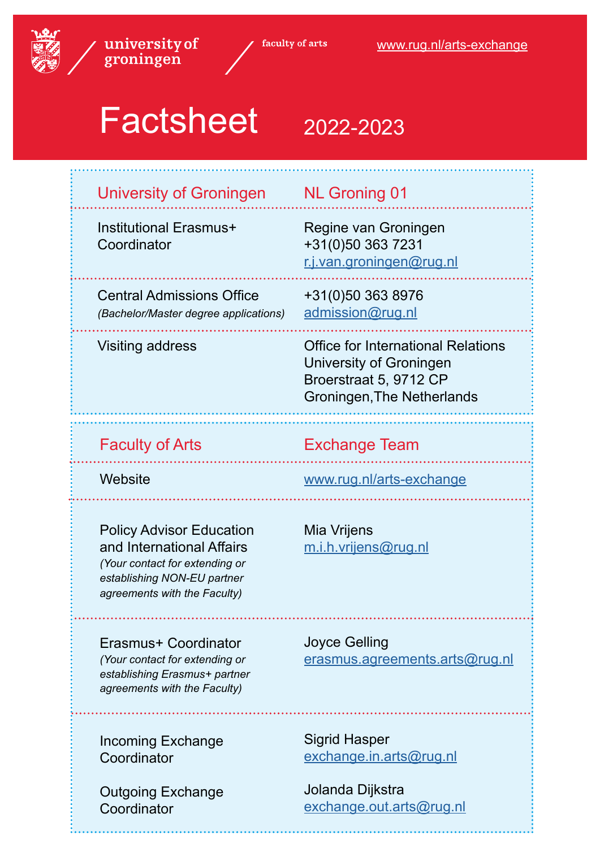

faculty of arts

# Factsheet 2022-2023

| <b>University of Groningen</b>                                                                                                                                | <b>NL Groning 01</b>                                                                                                                |
|---------------------------------------------------------------------------------------------------------------------------------------------------------------|-------------------------------------------------------------------------------------------------------------------------------------|
| <b>Institutional Erasmus+</b><br>Coordinator                                                                                                                  | Regine van Groningen<br>+31(0)50 363 7231<br>r.j.van.groningen@rug.nl                                                               |
| <b>Central Admissions Office</b><br>(Bachelor/Master degree applications)                                                                                     | +31(0)50 363 8976<br>admission@rug.nl                                                                                               |
| Visiting address                                                                                                                                              | <b>Office for International Relations</b><br>University of Groningen<br>Broerstraat 5, 9712 CP<br><b>Groningen, The Netherlands</b> |
| <b>Faculty of Arts</b>                                                                                                                                        | <b>Exchange Team</b>                                                                                                                |
| Website                                                                                                                                                       | www.rug.nl/arts-exchange                                                                                                            |
|                                                                                                                                                               |                                                                                                                                     |
| <b>Policy Advisor Education</b><br>and International Affairs<br>(Your contact for extending or<br>establishing NON-EU partner<br>agreements with the Faculty) | Mia Vrijens<br>m.i.h.vrijens@rug.nl                                                                                                 |
| Erasmus+ Coordinator<br>(Your contact for extending or<br>establishing Erasmus+ partner<br>agreements with the Faculty)                                       | <b>Joyce Gelling</b><br><u>erasmus.agreements.arts@rug.nl</u>                                                                       |
| <b>Incoming Exchange</b><br>Coordinator<br><b>Outgoing Exchange</b>                                                                                           | <b>Sigrid Hasper</b><br>exchange.in.arts@rug.nl<br>Jolanda Dijkstra                                                                 |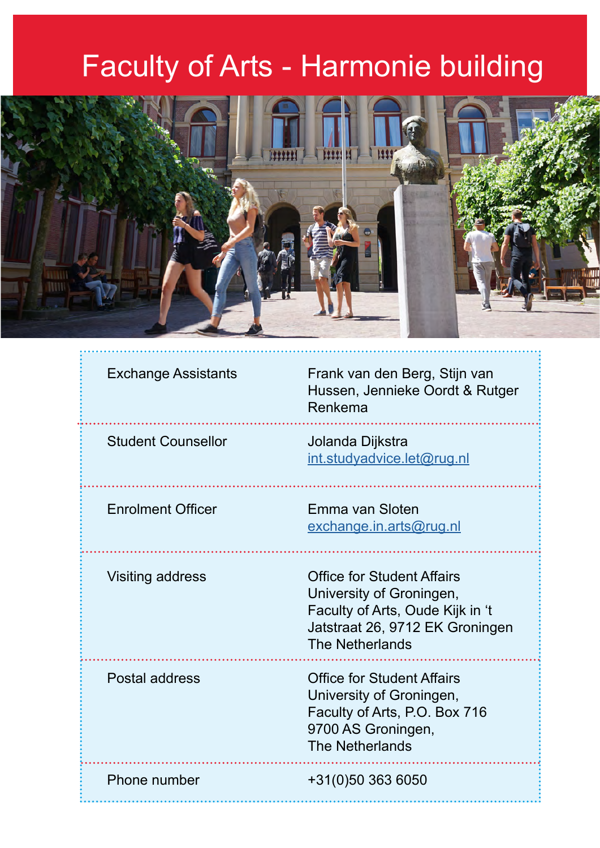## Faculty of Arts - Harmonie building



### Exchange Assistants

Frank van den Berg, Stijn van Hussen, Jennieke Oordt & Rutger Renkema

Student Counsellor

Jolanda Dijkstra [int.studyadvice.let@rug.nl](mailto:int.studyadvice.let%40rug.nl%20?subject=)

Emma van Sloten

Enrolment Officer

[exchange.in.arts@rug.nl](mailto:exchange.in.arts%40rug.nl?subject=)

Visiting address

Office for Student Affairs University of Groningen, Faculty of Arts, Oude Kijk in 't Jatstraat 26, 9712 EK Groningen The Netherlands

Postal address

Office for Student Affairs University of Groningen, Faculty of Arts, P.O. Box 716 9700 AS Groningen, The Netherlands

Phone number

+31(0)50 363 6050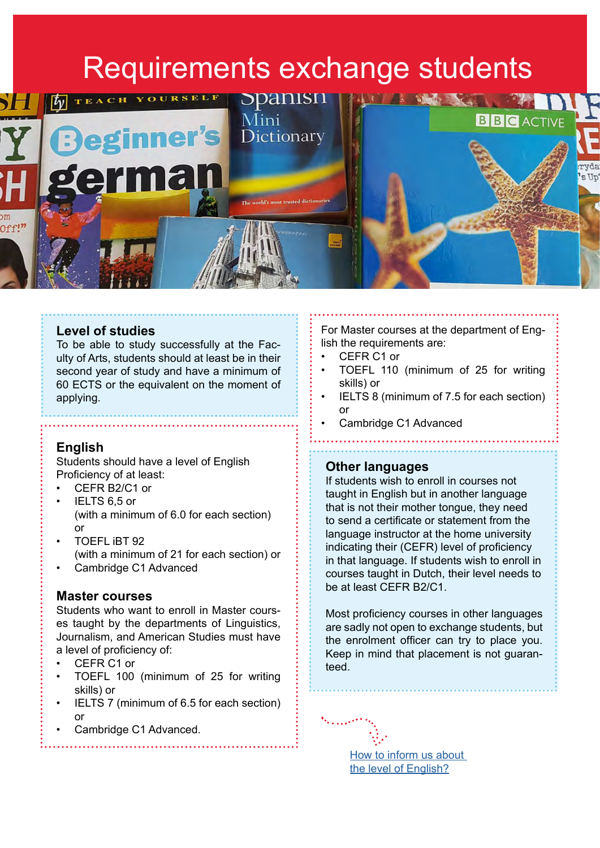### Requirements exchange students

<span id="page-2-0"></span>

### **Level of studies**

To be able to study successfully at the Faculty of Arts, students should at least be in their second year of study and have a minimum of 60 ECTS or the equivalent on the moment of applying.

### **English**

Students should have a level of English Proficiency of at least:

- CEFR B2/C1 or
- IELTS 6,5 or (with a minimum of 6.0 for each section) or
- TOEFL iBT 92 (with a minimum of 21 for each section) or
- Cambridge C1 Advanced

### **Master courses**

Students who want to enroll in Master courses taught by the departments of Linguistics, Journalism, and American Studies must have a level of proficiency of:

- CEFR C1 or
- TOEFL 100 (minimum of 25 for writing skills) or
- IELTS 7 (minimum of 6.5 for each section) or
- Cambridge C1 Advanced.

For Master courses at the department of English the requirements are:

- CEFR C1 or
- TOEFL 110 (minimum of 25 for writing skills) or
- IELTS 8 (minimum of 7.5 for each section) or
- Cambridge C1 Advanced

### **Other languages**

If students wish to enroll in courses not taught in English but in another language that is not their mother tongue, they need to send a certificate or statement from the language instructor at the home university indicating their (CEFR) level of proficiency in that language. If students wish to enroll in courses taught in Dutch, their level needs to be at least CEFR B2/C1.

Most proficiency courses in other languages are sadly not open to exchange students, but the enrolment officer can try to place you. Keep in mind that placement is not guaranteed.

[How to inform us about](https://www.rug.nl/let/studeren-bij-ons/exchange/who-can-apply)  [the level of English?](https://www.rug.nl/let/studeren-bij-ons/exchange/who-can-apply)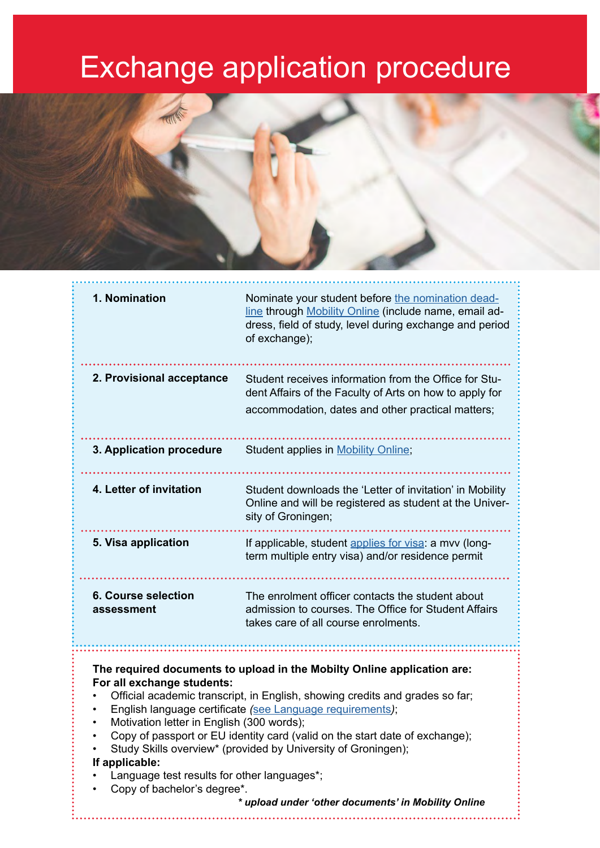## Exchange application procedure



| 1. Nomination                                                                                                                                                                                                                                                                                                                                                                                                                                                                                                                                                                                          | Nominate your student before the nomination dead-<br>line through Mobility Online (include name, email ad-<br>dress, field of study, level during exchange and period |
|--------------------------------------------------------------------------------------------------------------------------------------------------------------------------------------------------------------------------------------------------------------------------------------------------------------------------------------------------------------------------------------------------------------------------------------------------------------------------------------------------------------------------------------------------------------------------------------------------------|-----------------------------------------------------------------------------------------------------------------------------------------------------------------------|
|                                                                                                                                                                                                                                                                                                                                                                                                                                                                                                                                                                                                        | of exchange);                                                                                                                                                         |
| 2. Provisional acceptance                                                                                                                                                                                                                                                                                                                                                                                                                                                                                                                                                                              | Student receives information from the Office for Stu-<br>dent Affairs of the Faculty of Arts on how to apply for<br>accommodation, dates and other practical matters; |
| 3. Application procedure                                                                                                                                                                                                                                                                                                                                                                                                                                                                                                                                                                               | Student applies in <b>Mobility Online</b> ;                                                                                                                           |
| 4. Letter of invitation                                                                                                                                                                                                                                                                                                                                                                                                                                                                                                                                                                                | Student downloads the 'Letter of invitation' in Mobility<br>Online and will be registered as student at the Univer-<br>sity of Groningen;                             |
| 5. Visa application                                                                                                                                                                                                                                                                                                                                                                                                                                                                                                                                                                                    | If applicable, student applies for visa: a mvv (long-<br>term multiple entry visa) and/or residence permit                                                            |
| <b>6. Course selection</b><br>assessment                                                                                                                                                                                                                                                                                                                                                                                                                                                                                                                                                               | The enrolment officer contacts the student about<br>admission to courses. The Office for Student Affairs<br>takes care of all course enrolments.                      |
| The required documents to upload in the Mobilty Online application are:<br>For all exchange students:<br>Official academic transcript, in English, showing credits and grades so far;<br>English language certificate (see Language requirements);<br>Motivation letter in English (300 words);<br>Copy of passport or EU identity card (valid on the start date of exchange);<br>Study Skills overview* (provided by University of Groningen);<br>If applicable:<br>Language test results for other languages*;<br>Copy of bachelor's degree*.<br>* upload under 'other documents' in Mobility Online |                                                                                                                                                                       |
|                                                                                                                                                                                                                                                                                                                                                                                                                                                                                                                                                                                                        |                                                                                                                                                                       |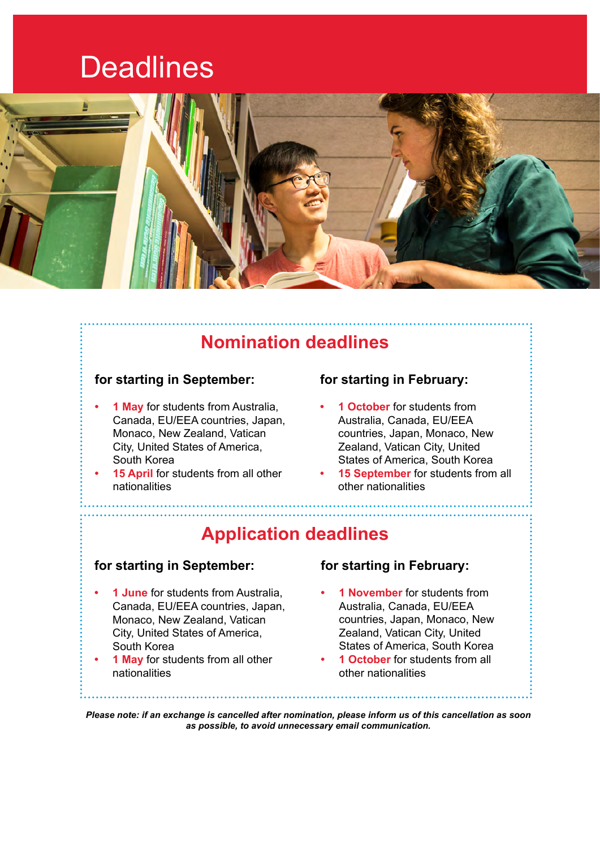### **Deadlines**

<span id="page-4-0"></span>

### **Nomination deadlines**

### **for starting in September:**

- **• 1 May** for students from Australia, Canada, EU/EEA countries, Japan, Monaco, New Zealand, Vatican City, United States of America, South Korea
- **• 15 April** for students from all other nationalities

### **for starting in February:**

- **• 1 October** for students from Australia, Canada, EU/EEA countries, Japan, Monaco, New Zealand, Vatican City, United States of America, South Korea
- **• 15 September** for students from all other nationalities

### **Application deadlines**

### **for starting in September:**

- **• 1 June** for students from Australia, Canada, EU/EEA countries, Japan, Monaco, New Zealand, Vatican City, United States of America, South Korea
- **• 1 May** for students from all other nationalities

### **for starting in February:**

- **• 1 November** for students from Australia, Canada, EU/EEA countries, Japan, Monaco, New Zealand, Vatican City, United States of America, South Korea
- **• 1 October** for students from all other nationalities

*Please note: if an exchange is cancelled after nomination, please inform us of this cancellation as soon as possible, to avoid unnecessary email communication.*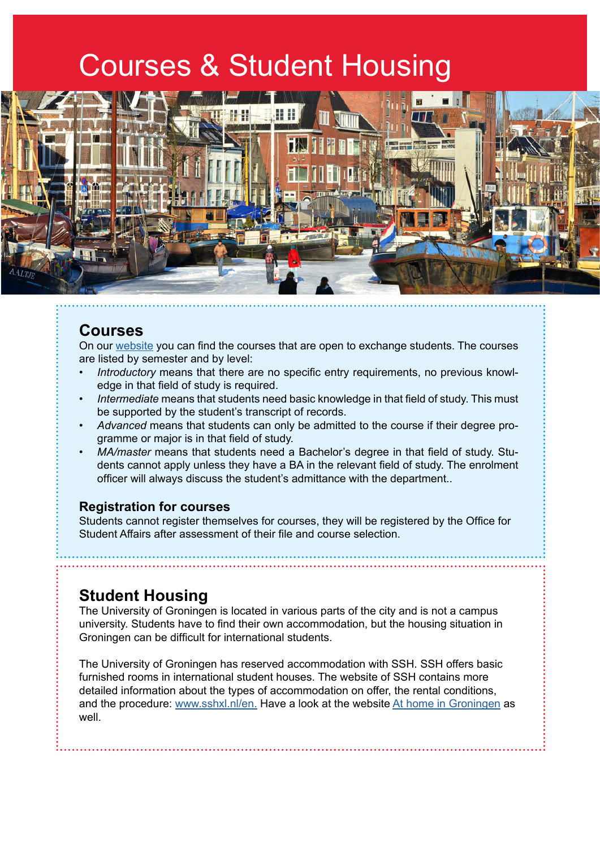### Courses & Student Housing



### **Courses**

On our [website](http://www.rug.nl/let/what-can-i-study) you can find the courses that are open to exchange students. The courses are listed by semester and by level:

- *• Introductory* means that there are no specific entry requirements, no previous knowledge in that field of study is required.
- *• Intermediate* means that students need basic knowledge in that field of study. This must be supported by the student's transcript of records.
- *• Advanced* means that students can only be admitted to the course if their degree programme or major is in that field of study.
- *• MA/master* means that students need a Bachelor's degree in that field of study. Students cannot apply unless they have a BA in the relevant field of study. The enrolment officer will always discuss the student's admittance with the department..

### **Registration for courses**

Students cannot register themselves for courses, they will be registered by the Office for Student Affairs after assessment of their file and course selection.

### **Student Housing**

The University of Groningen is located in various parts of the city and is not a campus university. Students have to find their own accommodation, but the housing situation in Groningen can be difficult for international students.

The University of Groningen has reserved accommodation with SSH. SSH offers basic furnished rooms in international student houses. The website of SSH contains more detailed information about the types of accommodation on offer, the rental conditions, and the procedure: [www.sshxl.nl/en](http://www.sshxl.nl/en). Have a look at the website [At home in Groningen](https://www.athomeingroningen.com/) as well.